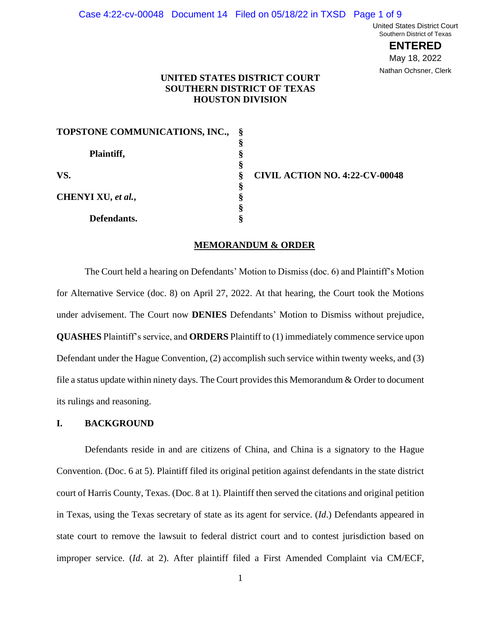#### Case 4:22-cv-00048 Document 14 Filed on 05/18/22 in TXSD Page 1 of 9

United States District Court Southern District of Texas

> **ENTERED** May 18, 2022 Nathan Ochsner, Clerk

# **UNITED STATES DISTRICT COURT SOUTHERN DISTRICT OF TEXAS HOUSTON DIVISION**

| TOPSTONE COMMUNICATIONS, INC., |   |                |
|--------------------------------|---|----------------|
|                                | ş |                |
| Plaintiff,                     | ş |                |
|                                | ş |                |
| VS.<br>CHENYI XU, et al.,      | Ş | <b>CIVIL A</b> |
|                                | ş |                |
|                                | ş |                |
|                                | ş |                |
| Defendants.                    |   |                |

 **CIVIL ACTION NO. 4:22-CV-00048**

#### **MEMORANDUM & ORDER**

The Court held a hearing on Defendants' Motion to Dismiss (doc. 6) and Plaintiff's Motion for Alternative Service (doc. 8) on April 27, 2022. At that hearing, the Court took the Motions under advisement. The Court now **DENIES** Defendants' Motion to Dismiss without prejudice, **QUASHES** Plaintiff's service, and **ORDERS** Plaintiff to (1) immediately commence service upon Defendant under the Hague Convention, (2) accomplish such service within twenty weeks, and (3) file a status update within ninety days. The Court provides this Memorandum & Order to document its rulings and reasoning.

# **I. BACKGROUND**

Defendants reside in and are citizens of China, and China is a signatory to the Hague Convention. (Doc. 6 at 5). Plaintiff filed its original petition against defendants in the state district court of Harris County, Texas. (Doc. 8 at 1). Plaintiff then served the citations and original petition in Texas, using the Texas secretary of state as its agent for service. (*Id*.) Defendants appeared in state court to remove the lawsuit to federal district court and to contest jurisdiction based on improper service. (*Id*. at 2). After plaintiff filed a First Amended Complaint via CM/ECF,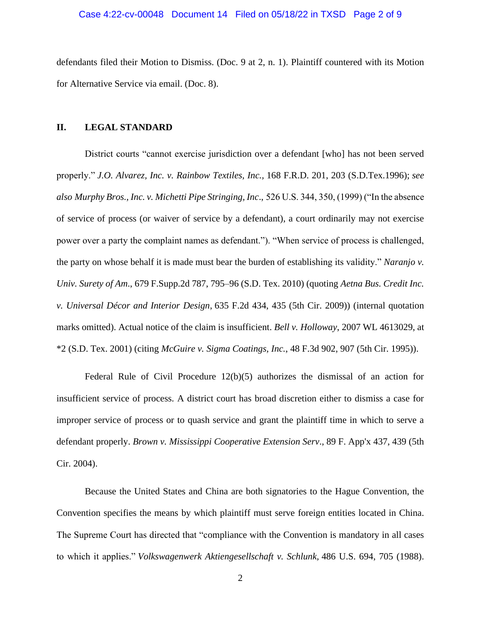### Case 4:22-cv-00048 Document 14 Filed on 05/18/22 in TXSD Page 2 of 9

defendants filed their Motion to Dismiss. (Doc. 9 at 2, n. 1). Plaintiff countered with its Motion for Alternative Service via email. (Doc. 8).

### **II. LEGAL STANDARD**

District courts "cannot exercise jurisdiction over a defendant [who] has not been served properly." *J.O. Alvarez, Inc. v. Rainbow Textiles, Inc.,* 168 F.R.D. 201, 203 (S.D.Tex.1996); *see also Murphy Bros., Inc. v. Michetti Pipe Stringing, Inc*., 526 U.S. 344, 350, (1999) ("In the absence of service of process (or waiver of service by a defendant), a court ordinarily may not exercise power over a party the complaint names as defendant."). "When service of process is challenged, the party on whose behalf it is made must bear the burden of establishing its validity." *Naranjo v. Univ. Surety of Am*., 679 F.Supp.2d 787, 795–96 (S.D. Tex. 2010) (quoting *Aetna Bus. Credit Inc. v. Universal Décor and Interior Design*, 635 F.2d 434, 435 (5th Cir. 2009)) (internal quotation marks omitted). Actual notice of the claim is insufficient. *Bell v. Holloway*, 2007 WL 4613029, at \*2 (S.D. Tex. 2001) (citing *McGuire v. Sigma Coatings, Inc.*, 48 F.3d 902, 907 (5th Cir. 1995)).

Federal Rule of Civil Procedure 12(b)(5) authorizes the dismissal of an action for insufficient service of process. A district court has broad discretion either to dismiss a case for improper service of process or to quash service and grant the plaintiff time in which to serve a defendant properly. *Brown v. Mississippi Cooperative Extension Serv*., 89 F. App'x 437, 439 (5th Cir. 2004).

Because the United States and China are both signatories to the Hague Convention, the Convention specifies the means by which plaintiff must serve foreign entities located in China. The Supreme Court has directed that "compliance with the Convention is mandatory in all cases to which it applies." *Volkswagenwerk Aktiengesellschaft v. Schlunk,* 486 U.S. 694, 705 (1988).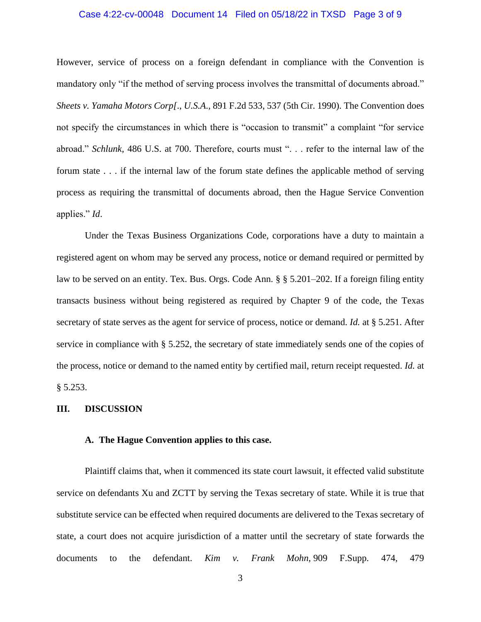### Case 4:22-cv-00048 Document 14 Filed on 05/18/22 in TXSD Page 3 of 9

However, service of process on a foreign defendant in compliance with the Convention is mandatory only "if the method of serving process involves the transmittal of documents abroad." *Sheets v. Yamaha Motors Corp[*., *U.S.A*., 891 F.2d 533, 537 (5th Cir. 1990). The Convention does not specify the circumstances in which there is "occasion to transmit" a complaint "for service abroad." *Schlunk,* 486 U.S. at 700. Therefore, courts must ". . . refer to the internal law of the forum state . . . if the internal law of the forum state defines the applicable method of serving process as requiring the transmittal of documents abroad, then the Hague Service Convention applies." *Id*.

Under the Texas Business Organizations Code, corporations have a duty to maintain a registered agent on whom may be served any process, notice or demand required or permitted by law to be served on an entity. Tex. Bus. Orgs. Code Ann. § § 5.201–202. If a foreign filing entity transacts business without being registered as required by Chapter 9 of the code, the Texas secretary of state serves as the agent for service of process, notice or demand. *Id.* at § 5.251. After service in compliance with § 5.252, the secretary of state immediately sends one of the copies of the process, notice or demand to the named entity by certified mail, return receipt requested. *Id.* at § 5.253.

### **III. DISCUSSION**

## **A. The Hague Convention applies to this case.**

Plaintiff claims that, when it commenced its state court lawsuit, it effected valid substitute service on defendants Xu and ZCTT by serving the Texas secretary of state. While it is true that substitute service can be effected when required documents are delivered to the Texas secretary of state, a court does not acquire jurisdiction of a matter until the secretary of state forwards the documents to the defendant. *Kim v. Frank Mohn,* 909 F.Supp. 474, 479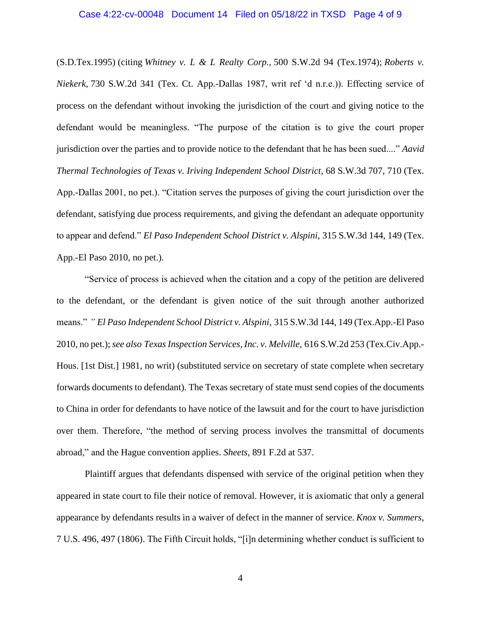(S.D.Tex.1995) (citing *Whitney v. L & L Realty Corp.,* 500 S.W.2d 94 (Tex.1974); *Roberts v. Niekerk,* 730 S.W.2d 341 (Tex. Ct. App.-Dallas 1987, writ ref 'd n.r.e.)). Effecting service of process on the defendant without invoking the jurisdiction of the court and giving notice to the defendant would be meaningless. "The purpose of the citation is to give the court proper jurisdiction over the parties and to provide notice to the defendant that he has been sued...." *Aavid Thermal Technologies of Texas v. Iriving Independent School District,* 68 S.W.3d 707, 710 (Tex. App.-Dallas 2001, no pet.). "Citation serves the purposes of giving the court jurisdiction over the defendant, satisfying due process requirements, and giving the defendant an adequate opportunity to appear and defend." *El Paso Independent School District v. Alspini,* 315 S.W.3d 144, 149 (Tex. App.-El Paso 2010, no pet.).

"Service of process is achieved when the citation and a copy of the petition are delivered to the defendant, or the defendant is given notice of the suit through another authorized means." *" El Paso Independent School District v. Alspini,* 315 S.W.3d 144, 149 (Tex.App.-El Paso 2010, no pet.);*see also Texas Inspection Services, Inc. v. Melville,* 616 S.W.2d 253 (Tex.Civ.App.- Hous. [1st Dist.] 1981, no writ) (substituted service on secretary of state complete when secretary forwards documents to defendant). The Texas secretary of state must send copies of the documents to China in order for defendants to have notice of the lawsuit and for the court to have jurisdiction over them. Therefore, "the method of serving process involves the transmittal of documents abroad," and the Hague convention applies. *Sheets,* 891 F.2d at 537.

Plaintiff argues that defendants dispensed with service of the original petition when they appeared in state court to file their notice of removal. However, it is axiomatic that only a general appearance by defendants results in a waiver of defect in the manner of service. *Knox v. Summers*, 7 U.S. 496, 497 (1806). The Fifth Circuit holds, "[i]n determining whether conduct is sufficient to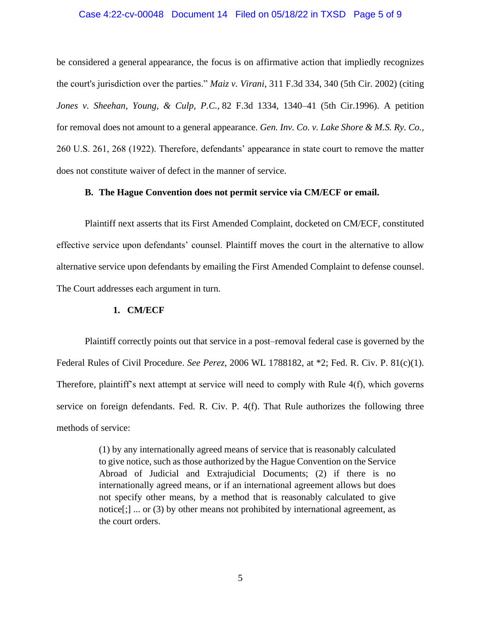### Case 4:22-cv-00048 Document 14 Filed on 05/18/22 in TXSD Page 5 of 9

be considered a general appearance, the focus is on affirmative action that impliedly recognizes the court's jurisdiction over the parties." *Maiz v. Virani*, 311 F.3d 334, 340 (5th Cir. 2002) (citing *Jones v. Sheehan, Young, & Culp, P.C.,* 82 F.3d 1334, 1340–41 (5th Cir.1996). A petition for removal does not amount to a general appearance. *Gen. Inv. Co. v. Lake Shore & M.S. Ry. Co.,* 260 U.S. 261, 268 (1922). Therefore, defendants' appearance in state court to remove the matter does not constitute waiver of defect in the manner of service.

### **B. The Hague Convention does not permit service via CM/ECF or email.**

Plaintiff next asserts that its First Amended Complaint, docketed on CM/ECF, constituted effective service upon defendants' counsel. Plaintiff moves the court in the alternative to allow alternative service upon defendants by emailing the First Amended Complaint to defense counsel. The Court addresses each argument in turn.

#### **1. CM/ECF**

Plaintiff correctly points out that service in a post–removal federal case is governed by the Federal Rules of Civil Procedure. *See Perez*, 2006 WL 1788182, at \*2; Fed. R. Civ. P. 81(c)(1). Therefore, plaintiff's next attempt at service will need to comply with Rule 4(f), which governs service on foreign defendants. Fed. R. Civ. P. 4(f). That Rule authorizes the following three methods of service:

> (1) by any internationally agreed means of service that is reasonably calculated to give notice, such as those authorized by the Hague Convention on the Service Abroad of Judicial and Extrajudicial Documents; (2) if there is no internationally agreed means, or if an international agreement allows but does not specify other means, by a method that is reasonably calculated to give notice[;] ... or (3) by other means not prohibited by international agreement, as the court orders.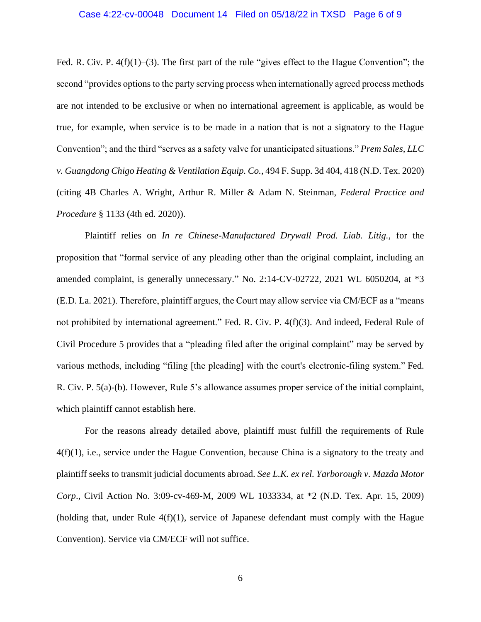#### Case 4:22-cv-00048 Document 14 Filed on 05/18/22 in TXSD Page 6 of 9

Fed. R. Civ. P.  $4(f)(1)$ –(3). The first part of the rule "gives effect to the Hague Convention"; the second "provides options to the party serving process when internationally agreed process methods are not intended to be exclusive or when no international agreement is applicable, as would be true, for example, when service is to be made in a nation that is not a signatory to the Hague Convention"; and the third "serves as a safety valve for unanticipated situations." *Prem Sales, LLC v. Guangdong Chigo Heating & Ventilation Equip. Co.,* 494 F. Supp. 3d 404, 418 (N.D. Tex. 2020) (citing 4B Charles A. Wright, Arthur R. Miller & Adam N. Steinman, *Federal Practice and Procedure* § 1133 (4th ed. 2020)).

Plaintiff relies on *In re Chinese-Manufactured Drywall Prod. Liab. Litig.,* for the proposition that "formal service of any pleading other than the original complaint, including an amended complaint, is generally unnecessary." No. 2:14-CV-02722, 2021 WL 6050204, at \*3 (E.D. La. 2021). Therefore, plaintiff argues, the Court may allow service via CM/ECF as a "means not prohibited by international agreement." Fed. R. Civ. P. 4(f)(3). And indeed, Federal Rule of Civil Procedure 5 provides that a "pleading filed after the original complaint" may be served by various methods, including "filing [the pleading] with the court's electronic-filing system." Fed. R. Civ. P. 5(a)-(b). However, Rule 5's allowance assumes proper service of the initial complaint, which plaintiff cannot establish here.

For the reasons already detailed above, plaintiff must fulfill the requirements of Rule 4(f)(1), i.e., service under the Hague Convention, because China is a signatory to the treaty and plaintiff seeks to transmit judicial documents abroad. *See L.K. ex rel. Yarborough v. Mazda Motor Corp*., Civil Action No. 3:09-cv-469-M, 2009 WL 1033334, at \*2 (N.D. Tex. Apr. 15, 2009) (holding that, under Rule  $4(f)(1)$ , service of Japanese defendant must comply with the Hague Convention). Service via CM/ECF will not suffice.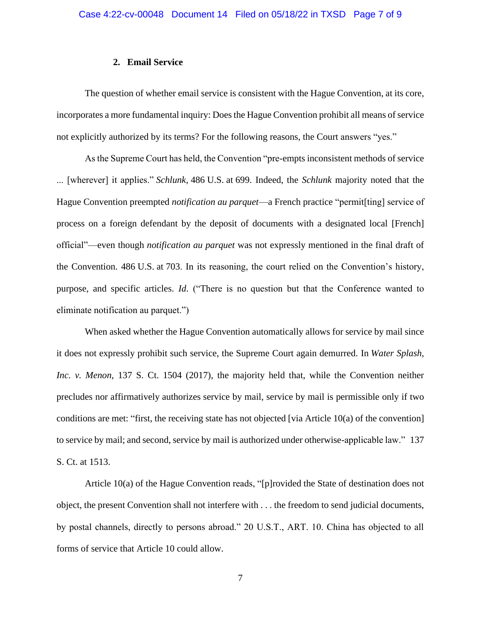#### **2. Email Service**

The question of whether email service is consistent with the Hague Convention, at its core, incorporates a more fundamental inquiry: Does the Hague Convention prohibit all means of service not explicitly authorized by its terms? For the following reasons, the Court answers "yes."

As the Supreme Court has held, the Convention "pre-empts inconsistent methods of service ... [wherever] it applies." *Schlunk*, 486 U.S. at 699. Indeed, the *Schlunk* majority noted that the Hague Convention preempted *notification au parquet*—a French practice "permit[ting] service of process on a foreign defendant by the deposit of documents with a designated local [French] official"—even though *notification au parquet* was not expressly mentioned in the final draft of the Convention. 486 U.S. at 703. In its reasoning, the court relied on the Convention's history, purpose, and specific articles. *Id*. ("There is no question but that the Conference wanted to eliminate notification au parquet.")

When asked whether the Hague Convention automatically allows for service by mail since it does not expressly prohibit such service, the Supreme Court again demurred. In *Water Splash, Inc. v. Menon*, 137 S. Ct. 1504 (2017), the majority held that, while the Convention neither precludes nor affirmatively authorizes service by mail, service by mail is permissible only if two conditions are met: "first, the receiving state has not objected [via Article 10(a) of the convention] to service by mail; and second, service by mail is authorized under otherwise-applicable law." 137 S. Ct. at 1513.

Article 10(a) of the Hague Convention reads, "[p]rovided the State of destination does not object, the present Convention shall not interfere with . . . the freedom to send judicial documents, by postal channels, directly to persons abroad." 20 U.S.T., ART. 10. China has objected to all forms of service that Article 10 could allow.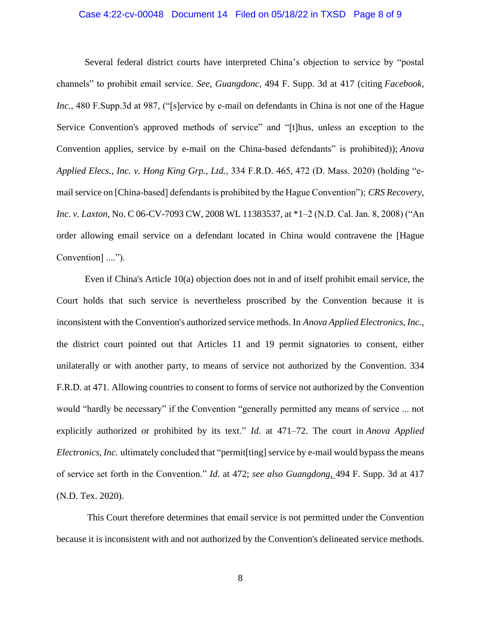### Case 4:22-cv-00048 Document 14 Filed on 05/18/22 in TXSD Page 8 of 9

Several federal district courts have interpreted China's objection to service by "postal channels" to prohibit email service. *See, Guangdonc,* 494 F. Supp. 3d at 417 (citing *Facebook, Inc.*, 480 F.Supp.3d at 987, ("[s]ervice by e-mail on defendants in China is not one of the Hague Service Convention's approved methods of service" and "[t]hus, unless an exception to the Convention applies, service by e-mail on the China-based defendants" is prohibited)); *Anova Applied Elecs., Inc. v. Hong King Grp., Ltd.*, 334 F.R.D. 465, 472 (D. Mass. 2020) (holding "email service on [China-based] defendants is prohibited by the Hague Convention"); *CRS Recovery, Inc. v. Laxton*, No. C 06-CV-7093 CW, 2008 WL 11383537, at \*1–2 (N.D. Cal. Jan. 8, 2008) ("An order allowing email service on a defendant located in China would contravene the [Hague Convention] ....").

Even if China's Article 10(a) objection does not in and of itself prohibit email service, the Court holds that such service is nevertheless proscribed by the Convention because it is inconsistent with the Convention's authorized service methods. In *Anova Applied Electronics, Inc.*, the district court pointed out that Articles 11 and 19 permit signatories to consent, either unilaterally or with another party, to means of service not authorized by the Convention. 334 F.R.D. at 471. Allowing countries to consent to forms of service not authorized by the Convention would "hardly be necessary" if the Convention "generally permitted any means of service ... not explicitly authorized or prohibited by its text." *Id*. at 471–72. The court in *Anova Applied Electronics, Inc.* ultimately concluded that "permit [ting] service by e-mail would bypass the means of service set forth in the Convention." *Id*. at 472; *see also Guangdong*, 494 F. Supp. 3d at 417 (N.D. Tex. 2020).

This Court therefore determines that email service is not permitted under the Convention because it is inconsistent with and not authorized by the Convention's delineated service methods.